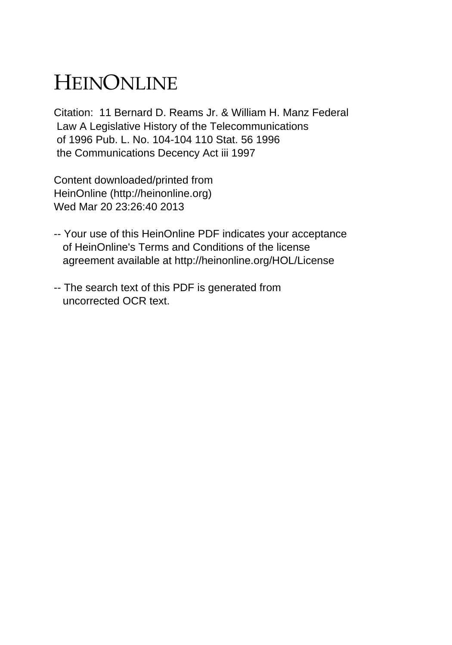## HEINONLINE

Citation: 11 Bernard D. Reams Jr. & William H. Manz Federal Law A Legislative History of the Telecommunications of 1996 Pub. L. No. 104-104 110 Stat. 56 1996 the Communications Decency Act iii 1997

Content downloaded/printed from HeinOnline (http://heinonline.org) Wed Mar 20 23:26:40 2013

- -- Your use of this HeinOnline PDF indicates your acceptance of HeinOnline's Terms and Conditions of the license agreement available at http://heinonline.org/HOL/License
- -- The search text of this PDF is generated from uncorrected OCR text.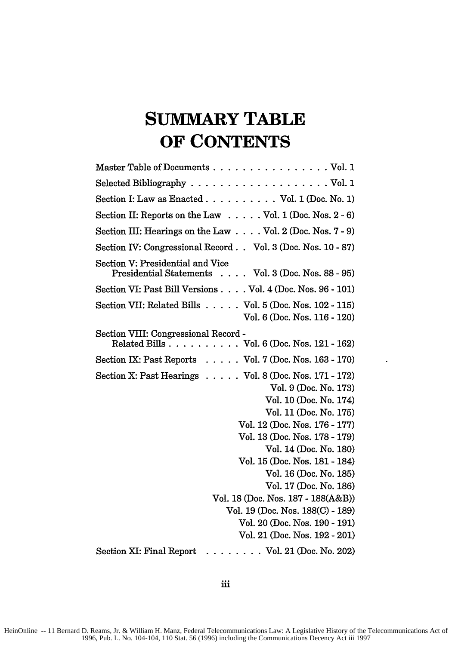## **SUMMARY TABLE OF CONTENTS**

| Master Table of Documents Vol. 1                                                        |
|-----------------------------------------------------------------------------------------|
|                                                                                         |
| Section I: Law as Enacted $\ldots$ Vol. 1 (Doc. No. 1)                                  |
| Section II: Reports on the Law Vol. 1 (Doc. Nos. 2 - 6)                                 |
| Section III: Hearings on the Law $\ldots$ Vol. 2 (Doc. Nos. 7 - 9)                      |
| Section IV: Congressional Record Vol. 3 (Doc. Nos. 10 - 87)                             |
| Section V: Presidential and Vice<br>Presidential Statements Vol. 3 (Doc. Nos. 88 - 95)  |
| Section VI: Past Bill Versions Vol. 4 (Doc. Nos. 96 - 101)                              |
| Section VII: Related Bills Vol. 5 (Doc. Nos. 102 - 115)<br>Vol. 6 (Doc. Nos. 116 - 120) |
| Section VIII: Congressional Record -<br>Related Bills Vol. 6 (Doc. Nos. 121 - 162)      |
| Section IX: Past Reports $\ldots$ . Vol. 7 (Doc. Nos. 163 - 170)                        |
| Section X: Past Hearings $\ldots$ . Vol. 8 (Doc. Nos. 171 - 172)                        |
| Vol. 9 (Doc. No. 173)                                                                   |
| Vol. 10 (Doc. No. 174)                                                                  |
| Vol. 11 (Doc. No. 175)                                                                  |
| Vol. 12 (Doc. Nos. 176 - 177)                                                           |
| Vol. 13 (Doc. Nos. 178 - 179)                                                           |
| Vol. 14 (Doc. No. 180)                                                                  |
| Vol. 15 (Doc. Nos. 181 - 184)                                                           |
| Vol. 16 (Doc. No. 185)                                                                  |
| Vol. 17 (Doc. No. 186)                                                                  |
| Vol. 18 (Doc. Nos. 187 - 188(A&B))                                                      |
| Vol. 19 (Doc. Nos. 188(C) - 189)                                                        |
| Vol. 20 (Doc. Nos. 190 - 191)                                                           |
| Vol. 21 (Doc. Nos. 192 - 201)                                                           |
| $\ldots$ Vol. 21 (Doc. No. 202)<br>Section XI: Final Report                             |